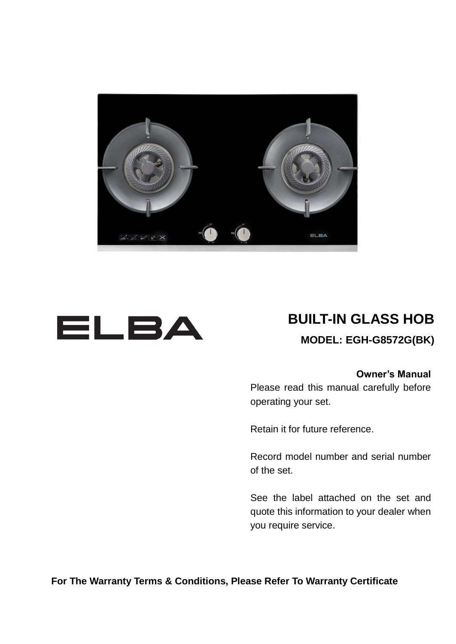



# **BUILT-IN GLASS HOB**

#### **MODEL: EGH-G8572G(BK)**

#### **Owner's Manual**

Please read this manual carefully before operating your set.

Retain it for future reference.

Record model number and serial number of the set.

See the label attached on the set and quote this information to your dealer when you require service.

**For The Warranty Terms & Conditions, Please Refer To Warranty Certificate**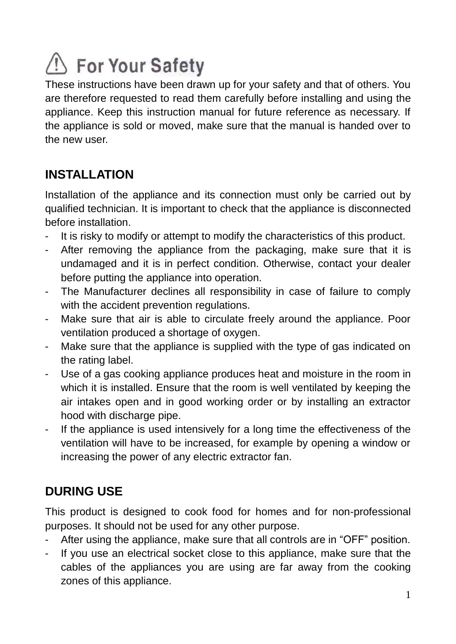# Sor Your Safety

These instructions have been drawn up for your safety and that of others. You are therefore requested to read them carefully before installing and using the appliance. Keep this instruction manual for future reference as necessary. If the appliance is sold or moved, make sure that the manual is handed over to the new user.

# **INSTALLATION**

Installation of the appliance and its connection must only be carried out by qualified technician. It is important to check that the appliance is disconnected before installation.

- It is risky to modify or attempt to modify the characteristics of this product.
- After removing the appliance from the packaging, make sure that it is undamaged and it is in perfect condition. Otherwise, contact your dealer before putting the appliance into operation.
- The Manufacturer declines all responsibility in case of failure to comply with the accident prevention regulations.
- Make sure that air is able to circulate freely around the appliance. Poor ventilation produced a shortage of oxygen.
- Make sure that the appliance is supplied with the type of gas indicated on the rating label.
- Use of a gas cooking appliance produces heat and moisture in the room in which it is installed. Ensure that the room is well ventilated by keeping the air intakes open and in good working order or by installing an extractor hood with discharge pipe.
- If the appliance is used intensively for a long time the effectiveness of the ventilation will have to be increased, for example by opening a window or increasing the power of any electric extractor fan.

# **DURING USE**

This product is designed to cook food for homes and for non-professional purposes. It should not be used for any other purpose.

- After using the appliance, make sure that all controls are in "OFF" position.
- If you use an electrical socket close to this appliance, make sure that the cables of the appliances you are using are far away from the cooking zones of this appliance.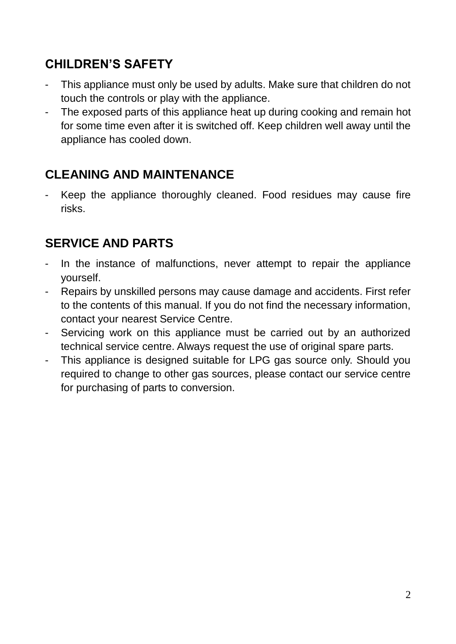# **CHILDREN'S SAFETY**

- This appliance must only be used by adults. Make sure that children do not touch the controls or play with the appliance.
- The exposed parts of this appliance heat up during cooking and remain hot for some time even after it is switched off. Keep children well away until the appliance has cooled down.

# **CLEANING AND MAINTENANCE**

Keep the appliance thoroughly cleaned. Food residues may cause fire risks.

# **SERVICE AND PARTS**

- In the instance of malfunctions, never attempt to repair the appliance yourself.
- Repairs by unskilled persons may cause damage and accidents. First refer to the contents of this manual. If you do not find the necessary information, contact your nearest Service Centre.
- Servicing work on this appliance must be carried out by an authorized technical service centre. Always request the use of original spare parts.
- This appliance is designed suitable for LPG gas source only. Should you required to change to other gas sources, please contact our service centre for purchasing of parts to conversion.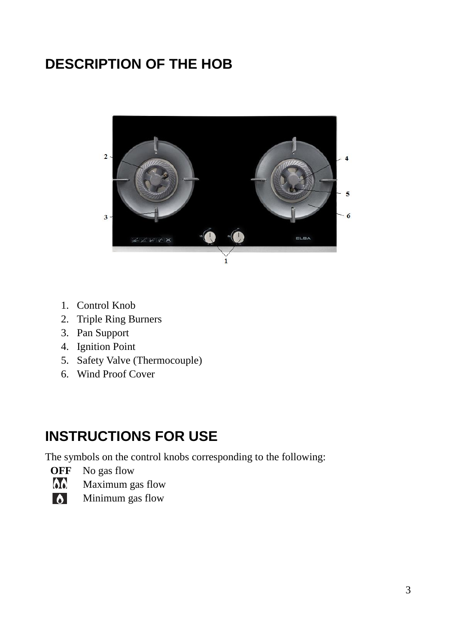# **DESCRIPTION OF THE HOB**



- 1. Control Knob
- 2. Triple Ring Burners
- 3. Pan Support
- 4. Ignition Point
- 5. Safety Valve (Thermocouple)
- 6. Wind Proof Cover

# **INSTRUCTIONS FOR USE**

The symbols on the control knobs corresponding to the following:

- **OFF** No gas flow<br>Maximum g
- Maximum gas flow
- $\overline{\bullet}$ Minimum gas flow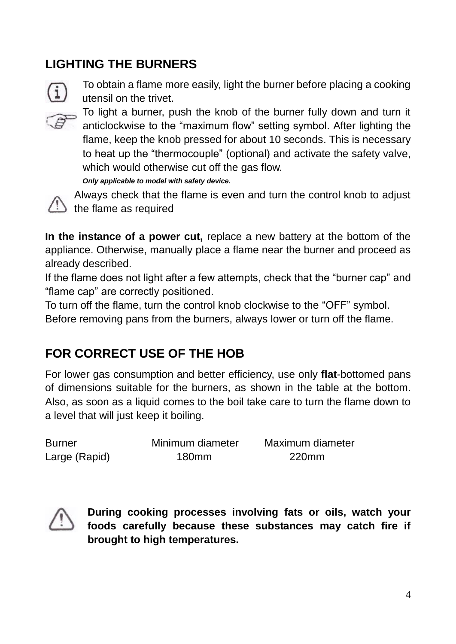# **LIGHTING THE BURNERS**



To obtain a flame more easily, light the burner before placing a cooking utensil on the trivet.



5 To light a burner, push the knob of the burner fully down and turn it anticlockwise to the "maximum flow" setting symbol. After lighting the flame, keep the knob pressed for about 10 seconds. This is necessary to heat up the "thermocouple" (optional) and activate the safety valve, which would otherwise cut off the gas flow. *Only applicable to model with safety device.*



 Always check that the flame is even and turn the control knob to adjust the flame as required

**In the instance of a power cut,** replace a new battery at the bottom of the appliance. Otherwise, manually place a flame near the burner and proceed as already described.

If the flame does not light after a few attempts, check that the "burner cap" and "flame cap" are correctly positioned.

To turn off the flame, turn the control knob clockwise to the "OFF" symbol.

Before removing pans from the burners, always lower or turn off the flame.

# **FOR CORRECT USE OF THE HOB**

For lower gas consumption and better efficiency, use only **flat**-bottomed pans of dimensions suitable for the burners, as shown in the table at the bottom. Also, as soon as a liquid comes to the boil take care to turn the flame down to a level that will just keep it boiling.

| <b>Burner</b> | Minimum diameter | Maximum diameter |
|---------------|------------------|------------------|
| Large (Rapid) | 180mm            | 220mm            |



 **During cooking processes involving fats or oils, watch your foods carefully because these substances may catch fire if brought to high temperatures.**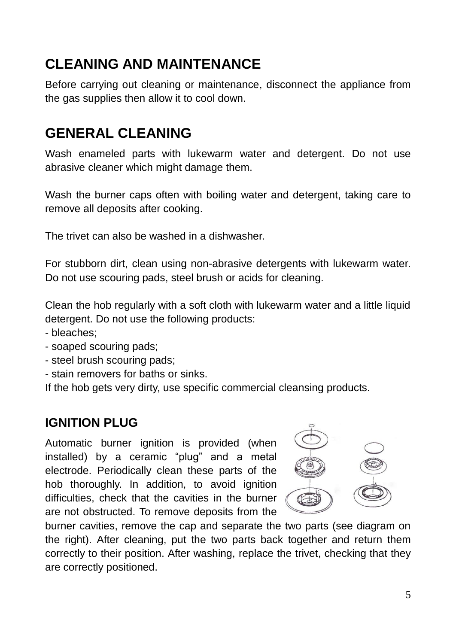# **CLEANING AND MAINTENANCE**

Before carrying out cleaning or maintenance, disconnect the appliance from the gas supplies then allow it to cool down.

# **GENERAL CLEANING**

Wash enameled parts with lukewarm water and detergent. Do not use abrasive cleaner which might damage them.

Wash the burner caps often with boiling water and detergent, taking care to remove all deposits after cooking.

The trivet can also be washed in a dishwasher.

For stubborn dirt, clean using non-abrasive detergents with lukewarm water. Do not use scouring pads, steel brush or acids for cleaning.

Clean the hob regularly with a soft cloth with lukewarm water and a little liquid detergent. Do not use the following products:

- bleaches;
- soaped scouring pads;
- steel brush scouring pads;
- stain removers for baths or sinks.

If the hob gets very dirty, use specific commercial cleansing products.

# **IGNITION PLUG**

Automatic burner ignition is provided (when installed) by a ceramic "plug" and a metal electrode. Periodically clean these parts of the hob thoroughly. In addition, to avoid ignition difficulties, check that the cavities in the burner are not obstructed. To remove deposits from the



burner cavities, remove the cap and separate the two parts (see diagram on the right). After cleaning, put the two parts back together and return them correctly to their position. After washing, replace the trivet, checking that they are correctly positioned.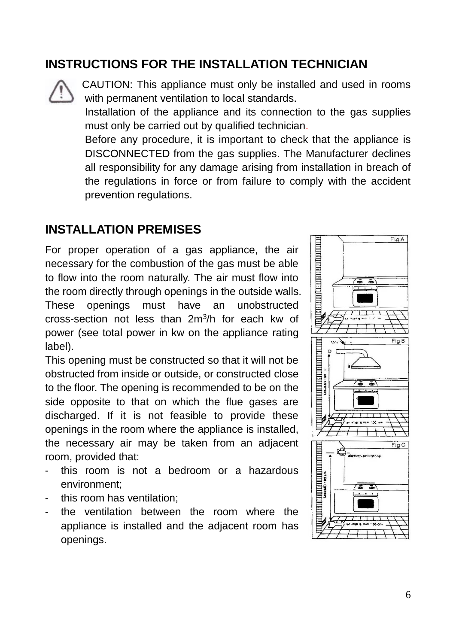#### **INSTRUCTIONS FOR THE INSTALLATION TECHNICIAN**



 CAUTION: This appliance must only be installed and used in rooms with permanent ventilation to local standards.

 Installation of the appliance and its connection to the gas supplies must only be carried out by qualified technician.

 Before any procedure, it is important to check that the appliance is DISCONNECTED from the gas supplies. The Manufacturer declines all responsibility for any damage arising from installation in breach of the regulations in force or from failure to comply with the accident prevention regulations.

#### **INSTALLATION PREMISES**

For proper operation of a gas appliance, the air necessary for the combustion of the gas must be able to flow into the room naturally. The air must flow into the room directly through openings in the outside walls. These openings must have an unobstructed cross-section not less than 2m<sup>3</sup> /h for each kw of power (see total power in kw on the appliance rating label).

This opening must be constructed so that it will not be obstructed from inside or outside, or constructed close to the floor. The opening is recommended to be on the side opposite to that on which the flue gases are discharged. If it is not feasible to provide these openings in the room where the appliance is installed, the necessary air may be taken from an adjacent room, provided that:

- this room is not a bedroom or a hazardous environment;
- this room has ventilation;
- the ventilation between the room where the appliance is installed and the adjacent room has openings.

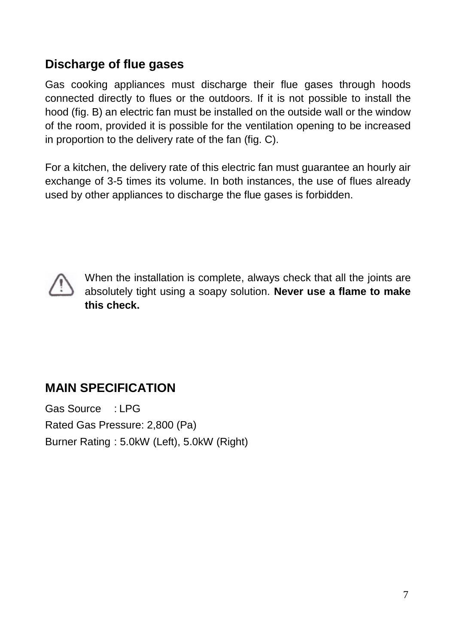#### **Discharge of flue gases**

Gas cooking appliances must discharge their flue gases through hoods connected directly to flues or the outdoors. If it is not possible to install the hood (fig. B) an electric fan must be installed on the outside wall or the window of the room, provided it is possible for the ventilation opening to be increased in proportion to the delivery rate of the fan (fig. C).

For a kitchen, the delivery rate of this electric fan must guarantee an hourly air exchange of 3-5 times its volume. In both instances, the use of flues already used by other appliances to discharge the flue gases is forbidden.



When the installation is complete, always check that all the joints are absolutely tight using a soapy solution. **Never use a flame to make this check.**

# **MAIN SPECIFICATION**

Gas Source : LPG Rated Gas Pressure: 2,800 (Pa) Burner Rating : 5.0kW (Left), 5.0kW (Right)